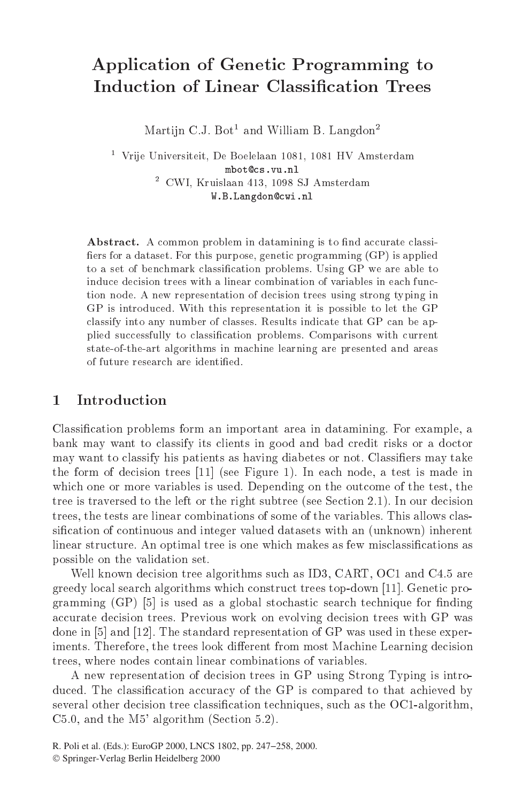# Application of Genetic Programming to **Induction of Linear Classification Trees**

Martijn C.J. Bot<sup>1</sup> and William B. Langdon<sup>2</sup>

- vrije Universiteit, De Boelelaan 1081, 1081 HV Amsterdam mbot@cs.vu.nl - CWI, Kruisiaan 413, 1098 SJ Amsterdam W.B.Langdon@cwi.nl

Abstract. A common problem in datamining is to find accurate classiers for a dataset purpose genetic purpose genetic programming  $\mathbf{F}$  is applied by the purpose genetic programming  $\mathbf{F}$ to a set of benchmark classification problems. Using GP we are able to induce decision trees with a linear combination of variables in each function node A new representation of decision trees using strong typing in GP is introduced. With this representation it is possible to let the GP classify into any number of classes. Results indicate that GP can be applied successfully to classification problems. Comparisons with current state-of-the-art algorithms in machine learning are presented and areas

## $\mathbf{1}$ Introduction

Classication problems form an important area in datamining For example- a bank may want to classify its clients in good and bad credit risks or a doctor may want to classify his patients as having diabetes or not. Classifiers may take the form of decision trees see Figure In each node-the control is the matrix of the second  $\sim$ which one or more variables is used by the order of the outcome of the test-the outcome of the testtree is traversed to the left or the right subtree (see Section 2.1). In our decision trees, the tests are linear combinations of some of the variables. This allows clas $t = t + t + t$ sification of continuous and integer valued datasets with an (unknown) inherent linear structure. An optimal tree is one which makes as few misclassifications as possible on the validation set

well and the statistic tree algorithms such as ID and ID in the statistic statistic such as ID and C  $\chi$  greedy local search algorithms which construct trees top-down [11]. Genetic programming  $(GP)$  [5] is used as a global stochastic search technique for finding accurate decision trees Previous work on evolving decision trees with GP was done in  $[5]$  and  $[12]$ . The standard representation of GP was used in these experiments Therefore- the trees look di
erent from most Machine Learning decision trees- where no design a modes contain linear combinations of variables combinations of variables combinations

A new representation of decision trees in GP using Strong Typing is intro duced. The classification accuracy of the GP is compared to that achieved by several other decision tree classication techniques- such as the OC algorithm-C- and the M algorithm Section 

R. Poli et al. (Eds.): EuroGP 2000, LNCS 1802, pp. 247−258, 2000. © Springer-Verlag Berlin Heidelberg 2000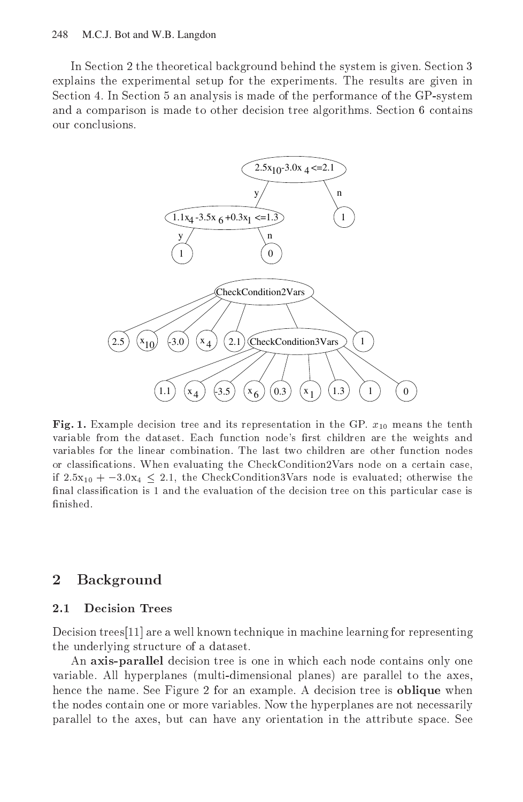# 248 M.C.J. Bot and W.B. Langdon

In Section 2 the theoretical background behind the system is given. Section 3 explains the experimental setup for the experiments The results are given in Section 4. In Section 5 an analysis is made of the performance of the GP-system and a comparison is made to other decision tree algorithms. Section 6 contains our conclusions.



 $\mathbf{r}$  is  $\mathbf{r}_i$  example decision tree and its representation in the GP  $x_{10}$  means the tenth variable from the dataset end of the dataset of the weights are the weights are the weights are the weights and variables for the linear combination The last two children are other function nodes or classifications. When evaluating the CheckConditionZvars node on a certain case.  $\frac{11}{2}$   $\frac{1}{2}$   $\frac{1}{2}$   $\frac{1}{2}$   $\frac{1}{2}$   $\frac{1}{2}$  the CheckConditions vars node is evaluated, otherwise the  $\max$  classification is 1 and the evaluation of the decision tree on this particular case is

#### $\bf{2}$  Background \_

### $2.1$ Decision Trees

Decision trees  $[11]$  are a well known technique in machine learning for representing the underlying structure of a dataset

An axis-parallel decision tree is one in which each node contains only one variable All hyperplanes multidimensional planes are parallel to the axes hence the name. See Figure 2 for an example. A decision tree is **oblique** when the nodes contain one or more variables Now the hyperplanes are not necessarily parallel to the axes but can have any orientation in the attribute space See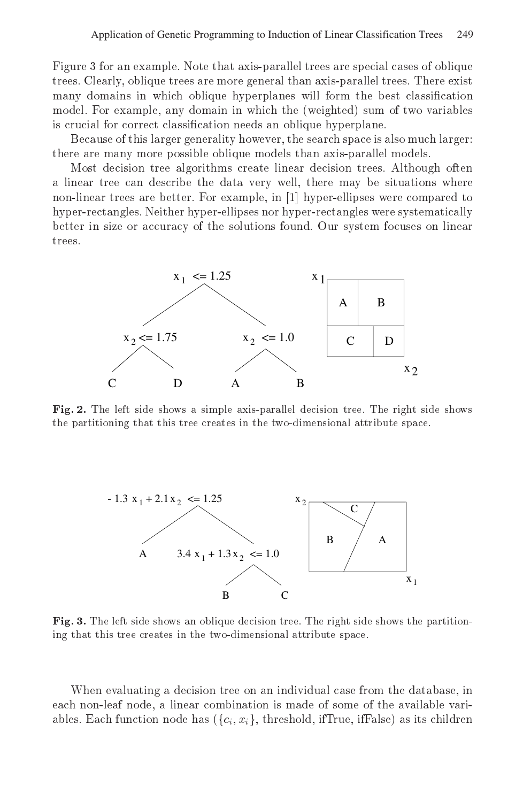Figure for an example Note that axis-parallel trees are special cases of oblique trees Clearly oblique trees are more general than axis-parallel trees There exist many domains in which oblique hyperplanes will form the best classification model. For example, any domain in which the (weighted) sum of two variables is crucial for correct classification needs an oblique hyperplane.

Because of this larger generality however, the search space is also much larger: there are many more possible oblique models than axis-parallel models

Most decision tree algorithms create linear decision trees Although often a linear tree can describe the data very well, there may be situations where non-linear trees are better For example in hyper-ellipses were compared to hyper-rectangles Neither hyper-ellipses nor hyper-rectangles were systematically better in size or accuracy of the solutions found. Our system focuses on linear trees



 $\mathbf r$  is,  $\mathbf z$ , the left side shows a simple axis-parallel decision tree. The right side shows the partitioning that this tree creates in the two-dimensional attribute space.



 $\bf r$  ig.  $\bf o$ . The left side shows an oblique decision tree. The right side shows the partitioning that this tree creates in the two-dimensional attribute space.

When evaluating a decision tree on an individual case from the database, in each non-leaf node a linear combination is made of some of the available variables. Each function node has  $(\{c_i, x_i\},$  threshold, ifTrue, ifFalse) as its children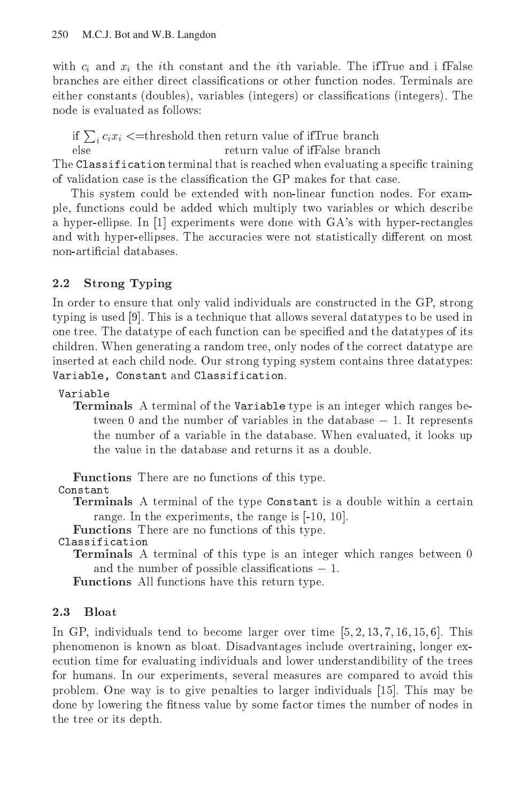with  $c_i$  and  $x_i$  the ith constant and the ith variable. The ifTrue and i fFalse branches are either direct classifications or other function nodes. Terminals are either constants -doubles variables -integers or classications -integers The node is evaluated as follows:

if  $\sum_i c_i x_i <$  = threshold then return value of ifTrue branch  $_{\text{else}}$ return value of ifFalse branch

The Classification terminal that is reached when evaluating a specific training of validation case is the classification the GP makes for that case.

This system could be extended with non-linear function nodes. For example, functions could be added which multiply two variables or which describe a hyperellipse In a hyperellipse In the control with GAS with gas were done with GAS with GAS with hyperrectangles and with hyper-ellipses. The accuracies were not statistically different on most non-artificial databases.

## $2.2$ Strong Typing

In order to ensure that only valid individuals are constructed in the GP, strong typing is used This is a technique that allows several datatypes to be used in one tree. The datatype of each function can be specified and the datatypes of its children. When generating a random tree, only nodes of the correct datatype are inserted at each child node. Our strong typing system contains three datatypes: Variable, Constant and Classification.

Variable

 $\frac{1}{2}$  and  $\frac{1}{2}$  the variable terminal order the variable type is an integer which ranges be tween 0 and the number of variables in the database  $-1$ . It represents the number of a variable in the database. When evaluated, it looks up the value in the database and returns it as a double.

Functions There are no functions of this type

Constant constant constant of the constant of the constant of the constant of the constant of the constant of the constant of the constant of the constant of the constant of the constant of the constant of the constant of the const

Terminals A terminal of the type Constant isa double within a certain range In the experiments the range is the range in the range is the range in the range in the range is the range of the range of the range in the range of the range of the range of the range of the range of the range of th

Functions There are no functions of this type

- - Terminals <sup>A</sup> terminal of this type is an integer which ranges between and the number of possible classifications  $-1$ .

Functions All functions have this return type

# $2.3$

In GP in General stemmer over the become larger over times in Fig. (1991) In the stemmer of phenomenon is known as bloat. Disadvantages include overtraining, longer execution time for evaluating individuals and lower understandibility of the trees for humans. In our experiments, several measures are compared to avoid this problem One way is to give penalties to larger individuals This may be done by lowering the fitness value by some factor times the number of nodes in the tree or its depth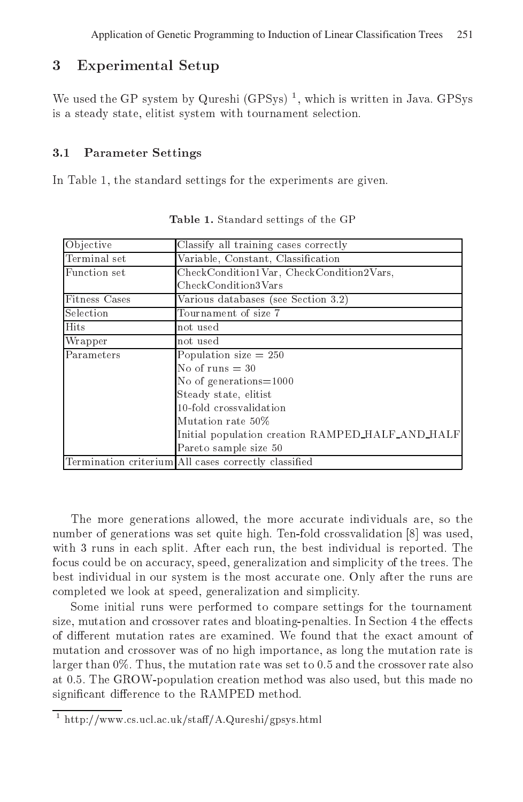## 3 Experimental Setup

we used the GP system by Qureshi (GPSys) -, which is written in Java. GPSys is a steady state- elitist system with tournament selection

### $3.1$ Parameter Settings

In Table - the standard settings for the standard settings for the state  $\Delta$  . The experiments are given the state of

| Objective            | Classify all training cases correctly                |  |  |  |  |  |
|----------------------|------------------------------------------------------|--|--|--|--|--|
| Terminal set         | Variable, Constant, Classification                   |  |  |  |  |  |
| Function set         | CheckCondition1Var, CheckCondition2Vars,             |  |  |  |  |  |
|                      | CheckCondition3Vars                                  |  |  |  |  |  |
| <b>Fitness Cases</b> | Various databases (see Section 3.2)                  |  |  |  |  |  |
| Selection            | Tournament of size 7                                 |  |  |  |  |  |
| <b>Hits</b>          | not used                                             |  |  |  |  |  |
| Wrapper              | not used                                             |  |  |  |  |  |
| Parameters           | Population $\overline{\text{size}} = 250$            |  |  |  |  |  |
|                      | No of runs $=$ 30                                    |  |  |  |  |  |
|                      | No of generations= $1000$                            |  |  |  |  |  |
|                      | Steady state, elitist                                |  |  |  |  |  |
|                      | 10-fold crossvalidation                              |  |  |  |  |  |
|                      | Mutation rate 50%                                    |  |  |  |  |  |
|                      | Initial population creation RAMPED HALF AND HALF     |  |  |  |  |  |
|                      | Pareto sample size 50                                |  |  |  |  |  |
|                      | Termination criterium All cases correctly classified |  |  |  |  |  |

Table 1. Standard settings of the GP

The more generations allowed- the more accurate individuals are- so the number of generations was set quite high. Ten-fold crossvalidation [8] was used, with  $r$  runs in each split  $\mathcal{A}$  runs individual is reported The best individual is reported The best individual is reported The best individual is reported The best individual is reported The best individual is report focus could be on accuracy- speed- generalization and simplicity of the trees The best individual in our system is the most accurate one Only after the runs are completed we look at speed-background we look at speed-background we look at speed-background we look and simplicity

Some initial runs were performed to compare settings for the tournament size-in and crossing and crossing and block in Section 2019, the extension and section is a complete the extra o of different mutation rates are examined. We found that the exact amount of mutation and crossover was of no high importance- as long the mutation rate is larger than 
 Thus- the mutation rate was set to  and the crossover rate also at the Growth case of the particles of contents method was also used- also used- also used- also usedsignificant difference to the RAMPED method.

fittp://www.cs.ucl.ac.uk/staff/A.Qureshi/gpsys.ntml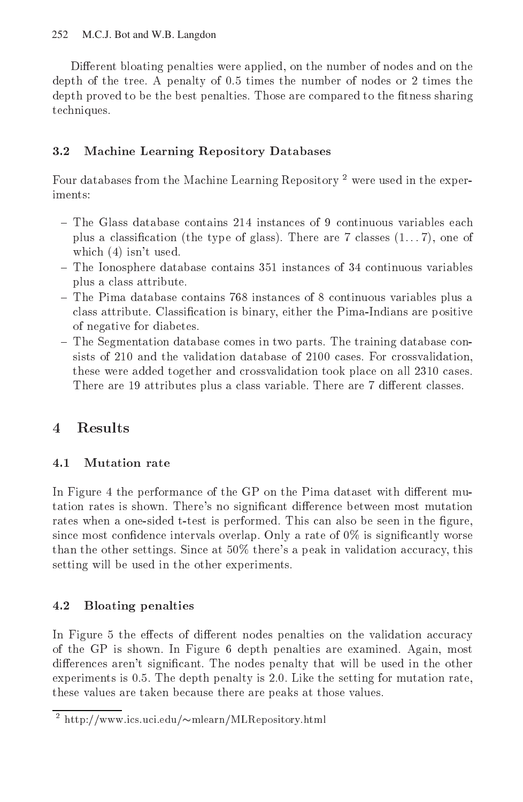Different bloating penalties were applied, on the number of nodes and on the depth of the tree- A penalty of - times the number of nodes or times the depth proved to be the best penalties- Those are compared to the tness sharing techniques-

# 3.2 Machine Learning Repository Databases

Four databases from the Machine Learning Repository<sup>2</sup> were used in the experiments:

- plus a classication 
the type of glass- There are classes - one of which  $(4)$  isn't used.
- The Ionosphere database contains instances of continuous variables plus a class attribute-
- $-$  The Pima database contains  $768$  instances of 8 continuous variables plus a class attribute- classication is binary either the Pimaindian is binary either the Pimaindians are positive to of negative for diabetes-
- The Segmentation database comes in two parts- The training database con sists of and the validation database of the validation of the validation of the validation of the contract of these were added together and crossvalidation took place on all cases-There are  attributes plus a class variable- There are dierent classes-

# $\overline{4}$ **Results**

# $4.1$ Mutation rate

In Figure 4 the performance of the GP on the Pima dataset with different mutation rates is shown- Theres no signicant dierence between most mutation rates when a ones density is performed to performed the seed in the seed and the seed  $\mathcal{L}_{\mathcal{A}}$ since intervals overlaps over large intervals overlap- or and  $\mu$  is significantly worse of  $\mu$  is significantly worse of  $\mu$ thanks the other settings-than the other  $\mathcal{N}$  there are  $\mathcal{N}$  and the set  $\mathcal{N}$  and  $\mathcal{N}$ setting will be used in the other experiments.

# 4.2 Bloating penalties

In Figure 5 the effects of different nodes penalties on the validation accuracy of the GP is shown- In Figure depth penalties are examined- Again most dierences arent signicant- The nodes penalty that will be used in the other experiments is -- The depth penalty is -- Like the setting for mutation rate these values are taken because there are peaks at those values-

 $^-$  http://www.ics.uci.edu/ $\sim$ miearn/MLRepository.html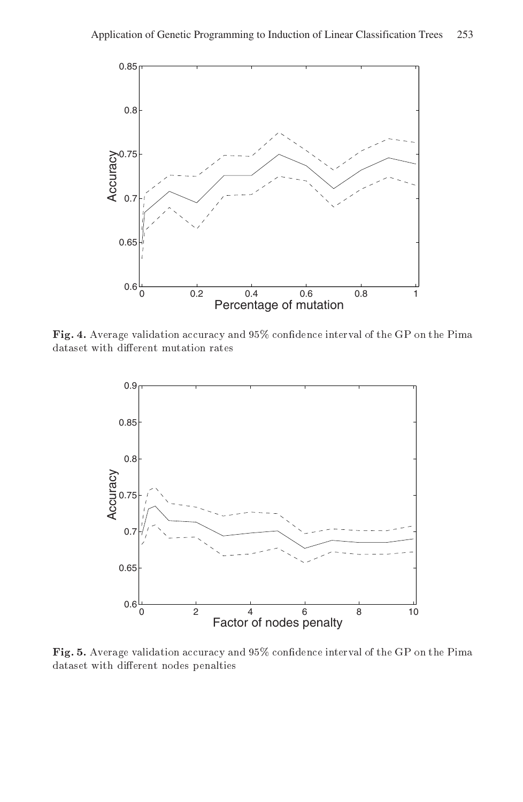

**Fig. 4.** Average validation accuracy and 9970 confidence interval of the GF on the Pima dataset with different mutation rates



**Fig. 5.** A verage validation accuracy and 9570 confidence interval of the GF on the Pillia dataset with different nodes penalties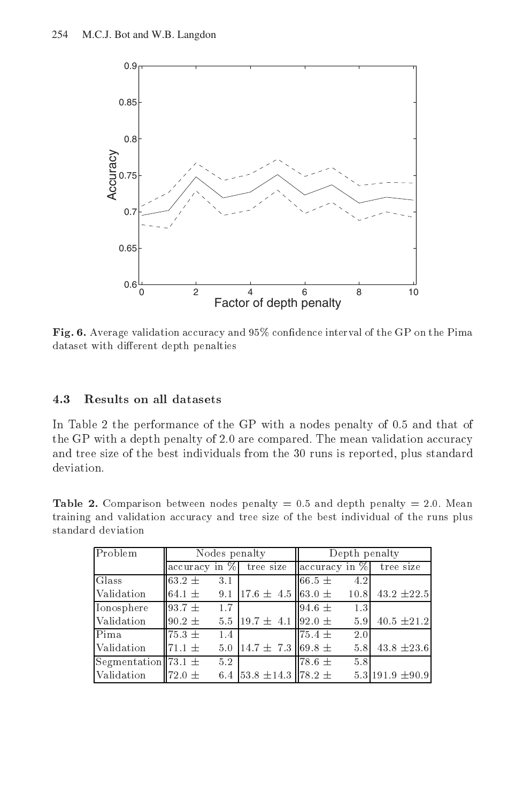

Pig. 0. Average vanuation accuracy and 9070 connuence interval of the GP on the Pinna dataset with different depth penalties

## 4.3 Results on all datasets

In Table the performance of the GP with a nodes penalty of - and that of the GP with a depth penalty of  $\blacksquare$  with compared  $\blacksquare$  in mean validation accuracy. and tree size of the best individuals from the 30 runs is reported, plus standard deviation.

Table - Comparison between nodes penalty and depth penalty Mean training and validation accuracy and tree size of the best individual of the runs plus

| Problem                 | Nodes penalty            |                                    | Depth penalty             |      |                        |
|-------------------------|--------------------------|------------------------------------|---------------------------|------|------------------------|
|                         | $\alpha$ ccuracy in $\%$ | tree size                          | $\alpha$ accuracy in $\%$ |      | tree size              |
| Glass                   | $63.2 \pm$<br>3.1        |                                    | 66.5 $\pm$                | 4.2  |                        |
| Validation              | 64.1 $\pm$<br>9.1        | $17.6 \pm 4.5 \, \text{163.0} \pm$ |                           | 10.8 | $43.2 \pm 22.5$        |
| Ionosphere              | $93.7 \pm$<br>1.7        |                                    | 94.6 $\pm$                | 1.3  |                        |
| Validation              | $90.2 \pm$               | 5.5 19.7 $\pm$ 4.1 192.0 $\pm$     |                           | 5.9  | 40.5 $\pm 21.2$        |
| Pima                    | $75.3 \pm$<br>1.4        |                                    | $75.4 \pm$                | 2.0  |                        |
| Validation              | 5.0<br>$71.1 \pm$        | $14.7 \pm 7.3$ 69.8 $\pm$          |                           | 5.8  | $43.8 \pm 23.6$        |
| Segmentation 73.1 $\pm$ | 5.2                      |                                    | $78.6 \pm$                | 5.8  |                        |
| Validation              | $72.0 \pm$<br>6.4        | $53.8 \pm 14.3 \parallel 78.2 \pm$ |                           |      | $5.3$ 191.9 $\pm$ 90.9 |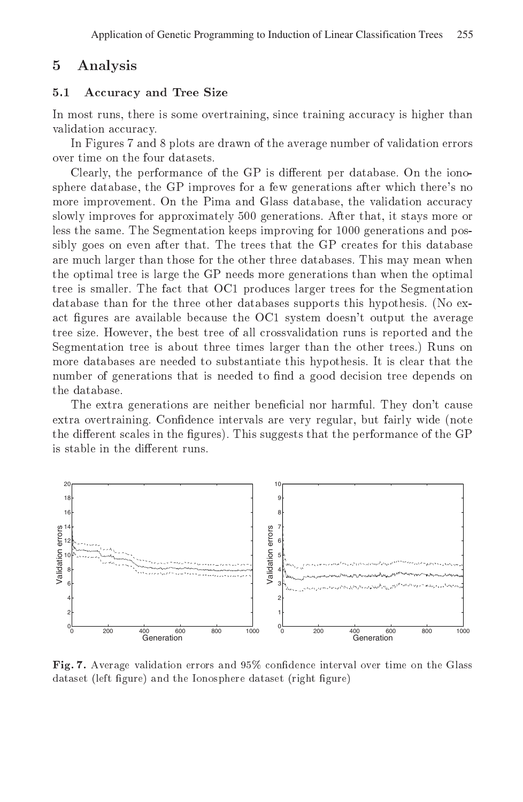## $\overline{5}$ Analysis

#### $5.1$ Accuracy and Tree Size

In most runs, there is some overtraining, since training accuracy is higher than validation accuracy

In Figures - and plots are drawn of the average number of validation errors over time on the four datasets

Clearly, the performance of the GP is different per database. On the ionosphere database, the GP improves for a few generations after which there's no more improvement. On the Pima and Glass database, the validation accuracy slowly improves for approximately 500 generations. After that, it stays more or less the same. The Segmentation keeps improving for 1000 generations and possibly goes on even after that The trees that the GP creates for this database are much larger than those for the other three databases This may mean when the optimal tree is large the GP needs more generations than when the optimal tree is smaller. The fact that OC1 produces larger trees for the Segmentation database than for the three other databases supports this hypothesis No ex act figures are available because the OC1 system doesn't output the average tree size. However, the best tree of all crossvalidation runs is reported and the Segmentation tree is about three times larger than the other trees.) Runs on more databases are needed to substantiate this hypothesis It is clear that the number of generations that is needed to find a good decision tree depends on the database

The extra generations are neither beneficial nor harmful. They don't cause extra overtraining Condence intervals are very regular but fairly wide note the different scales in the figures). This suggests that the performance of the GP is stable in the different runs.



**Fig. 7.** Average validation errors and 95% conhuence interval over time on the Glass dataset (left figure) and the Ionosphere dataset (right figure)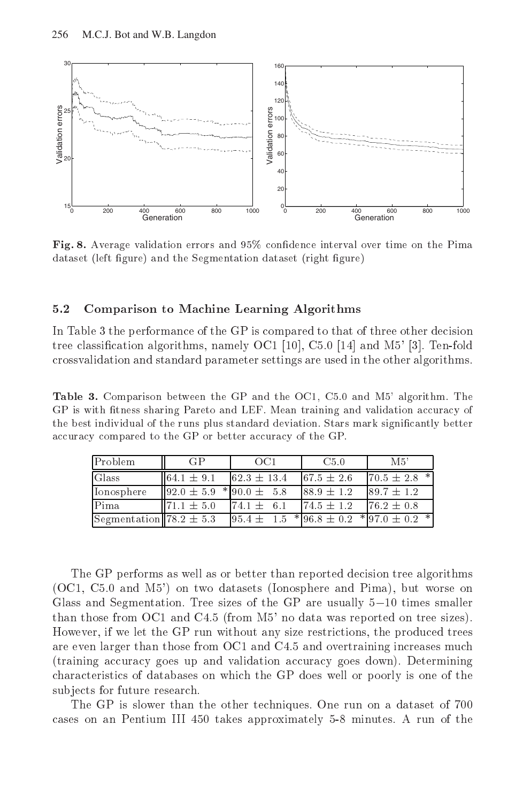

**Fig. 8.** Average validation errors and 9970 connuence interval over time on the Filma dataset (left figure) and the Segmentation dataset (right figure)

### 5.2 Comparison to Machine Learning Algorithms

In Table 3 the performance of the GP is compared to that of three other decision tree communication algorithms-systems of a resolution of the property and  $\mathcal{C}$ crossvalidation and standard parameter settings are used in the other algorithms

Table - Comparison between the GP and the Core Core Comparison and Magnetic Core Core GP is with fitness sharing Pareto and LEF. Mean training and validation accuracy of the best individual of the runs plus standard deviation. Stars mark significantly better accuracy compared to the GP or better accuracy of the GP

| Problem                     | GP                                              | OC1                                                | C5.0            | M5'              |
|-----------------------------|-------------------------------------------------|----------------------------------------------------|-----------------|------------------|
| Glass                       | $164.1 \pm 9.1$                                 | $62.3 \pm 13.4$                                    | $67.5 \pm 2.6$  | $70.5 \pm 2.8$ * |
| Ionosphere                  | $\parallel$ 92.0 $\pm$ 5.9 $\pm$ 90.0 $\pm$ 5.8 |                                                    | $88.9 \pm 1.2$  | $89.7 \pm 1.2$   |
| Pima                        | $71.1 \pm 5.0$                                  | $74.1 \pm 6.1$                                     | $174.5 \pm 1.2$ | $76.2 \pm 0.8$   |
| Segmentation 78.2 $\pm$ 5.3 |                                                 | $95.4 \pm 1.5^{*}96.8 \pm 0.2^{*}97.0 \pm 0.2^{*}$ |                 |                  |

The GP performs as well as or better than reported decision tree algorithms  $\blacksquare$  and  $\blacksquare$ Glass and Segmentation. Tree sizes of the GP are usually  $5-10$  times smaller thank there is the common that we can determine the common and the contract on  $\mathcal{C}$ However- if we let the GP run without any size restrictions- the produced trees are even larger than those from OC1 and C4.5 and overtraining increases much training accuracy goes up and validation accuracy goes down Determining characteristics of databases on which the GP does well or poorly is one of the subjects for future research.

The GP is slower than the other techniques. One run on a dataset of 700 cases on an Pentium III 450 takes approximately 5-8 minutes. A run of the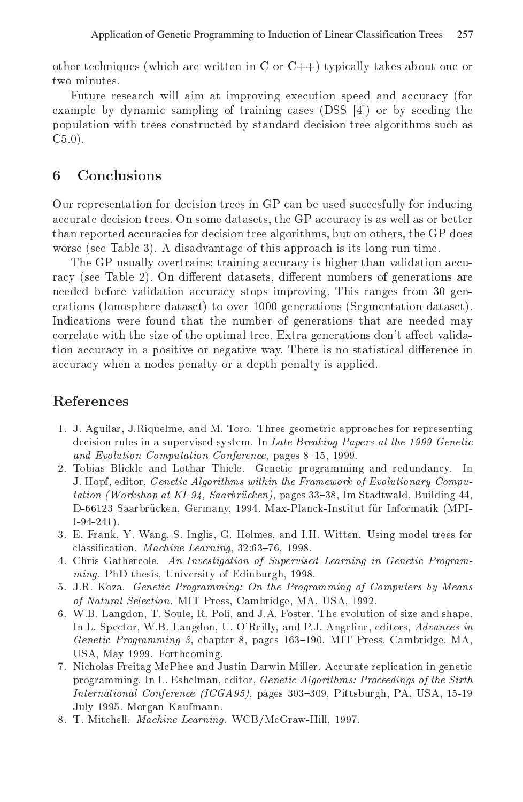other techniques which are written in C or C- typically takes about one or two minutes.

Future research will aim at improving execution speed and accuracy (for example by dynamic sampling of training cases DSS - or by seeding the population with trees constructed by standard decision tree algorithms such as C-

## 6 Conclusions

Our representation for decision trees in GP can be used succesfully for inducing accurate decision trees. On some datasets, the GP accuracy is as well as or better than reported accuracies for decision tree algorithms, but on others, the GP does worse see Table and the Table see Table see Table see Table see Table see Table see Table see Table see Table

The GP usually overtrains: training accuracy is higher than validation accuracy see Table 1, car more are multiple are different different are as Although are the see needed before validation accuracy stops improving This ranges from gen erations Ionosphere dataset- in die eerste generations Indonesia dataset- i Indications were found that the number of generations that are needed may correlate with the size of the optimal tree. Extra generations don't affect validation accuracy in a positive or negative way. There is no statistical difference in accuracy when a nodes penalty or a depth penalty is applied

# References

- J Aguilar- JRiquelme- and M Toro Three geometric approaches for representing decision rules in a supervised system. In Late Breaking Papers at the 1999 Genetic and Evolution Computation Conference pages - pages - Pages - Pages - Pages - Pages - Pages - Pages - Pages - Pages - Pages - Pages - Pages - Pages - Pages - Pages - Pages - Pages - Pages - Pages - Pages - Pages - Pages - P
- 2. Tobias Blickle and Lothar Thiele. Genetic programming and redundancy. In a exterpt computed algorithms with the Framework of Evolution and Computer of Evolution and Computer of Comput tation Workshop at KI- Saarbrucken- pages - Im Stadtwald- Building de la partie de la partie de la partie de la partie de la partie de la partie de la partie de la partie de la  $\overline{\phantom{a}}$
- e and Inglis- in the second trees for the second trees for the second trees for the second trees for the second classication Machine Learning-Machine Learning-Machine Learning-Machine Learning-Machine Learning-Machine Learning-
- Chris Gathercole An Investigation of Supervised Learning in Genetic Programming PhD thesis-in the theory of Edinburgh-Indian or the state of the state of the state of the state of the s
- 5. J.R. Koza. Genetic Programming: On the Programming of Computers by Means of accessive a contraction and a distance of the contract of the selection of the selection of the selection o
- WB Langdon-Book Langdon-Book Langdon-Book Langdon-Book Langdon-Book Langdon-Book Langdon-Book Langdon-Book Lan and the particles in Langdon-Billia in the control in the control of the control and the control of the control of the control of the control of the control of the control of the control of the control of the control of th genetic Programming of the programming and the extent of the chapter of the company of the control of the control USA- May Forthcoming
- 7. Nicholas Freitag McPhee and Justin Darwin Miller. Accurate replication in genetic programming in Lieuweise Communication in Lieuweise and the Sixth Proceedings of the Sixth Communication of th International Conference ICGA - pages - Pittsburgh- PA- USA- July 1995. Morgan Kaufmann.
- The Mitchell Machine McGraw (1999) (1999) The Mitchell Machine World WCBM (1999) (1999) (1999) (1999) (1999) (